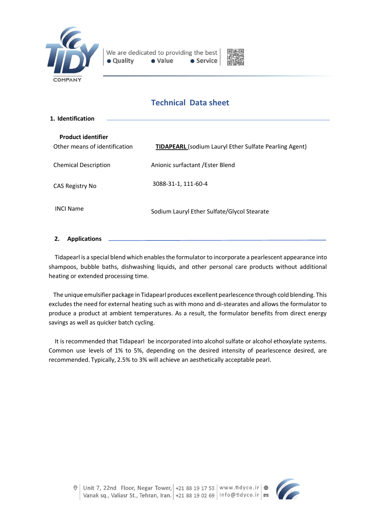



# **Technical Data sheet**

| 1. Identification                                          |                                                               |  |
|------------------------------------------------------------|---------------------------------------------------------------|--|
|                                                            |                                                               |  |
| <b>Product identifier</b><br>Other means of identification | <b>TIDAPEARL</b> (sodium Lauryl Ether Sulfate Pearling Agent) |  |
| <b>Chemical Description</b>                                | Anionic surfactant / Ester Blend                              |  |
| CAS Registry No                                            | 3088-31-1, 111-60-4                                           |  |
| <b>INCI Name</b>                                           | Sodium Lauryl Ether Sulfate/Glycol Stearate                   |  |
|                                                            |                                                               |  |

# **2. Applications**

 Tidapearl is a special blend which enablesthe formulator to incorporate a pearlescent appearance into shampoos, bubble baths, dishwashing liquids, and other personal care products without additional heating or extended processing time.

 The unique emulsifier package in Tidapearl produces excellent pearlescence through cold blending. This excludes the need for external heating such as with mono and di-stearates and allows the formulator to produce a product at ambient temperatures. As a result, the formulator benefits from direct energy savings as well as quicker batch cycling.

 It is recommended that Tidapearl be incorporated into alcohol sulfate or alcohol ethoxylate systems. Common use levels of 1% to 5%, depending on the desired intensity of pearlescence desired, are recommended. Typically, 2.5% to 3% will achieve an aesthetically acceptable pearl.